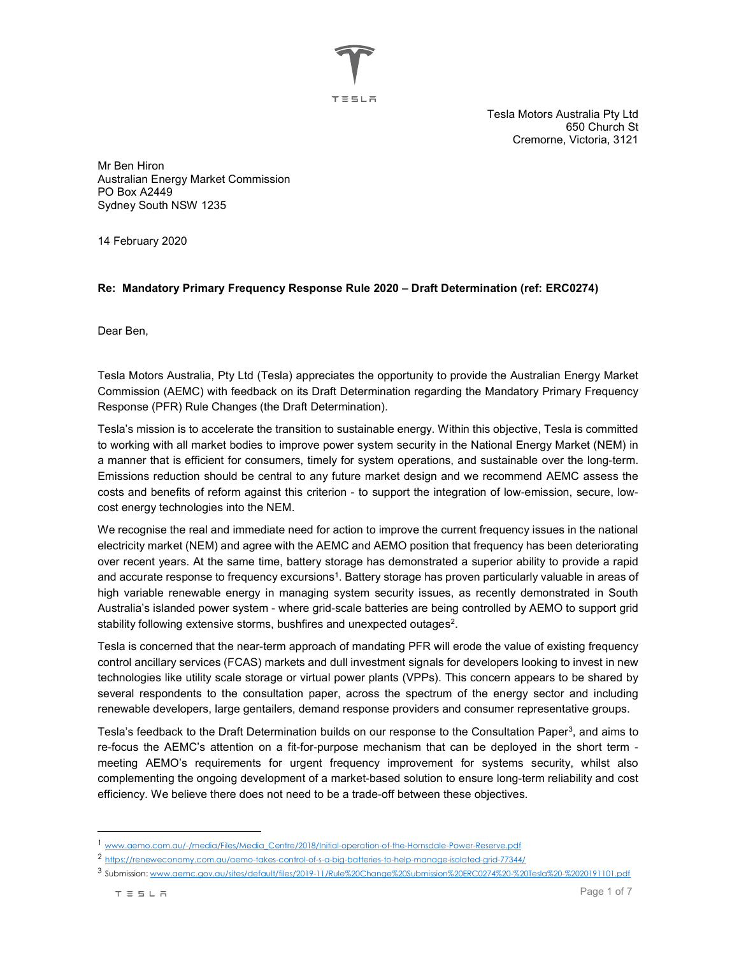エミミレネ

Tesla Motors Australia Pty Ltd 650 Church St Cremorne, Victoria, 3121

Mr Ben Hiron Australian Energy Market Commission PO Box A2449 Sydney South NSW 1235

14 February 2020

## Re: Mandatory Primary Frequency Response Rule 2020 – Draft Determination (ref: ERC0274)

Dear Ben,

Tesla Motors Australia, Pty Ltd (Tesla) appreciates the opportunity to provide the Australian Energy Market Commission (AEMC) with feedback on its Draft Determination regarding the Mandatory Primary Frequency Response (PFR) Rule Changes (the Draft Determination).

Tesla's mission is to accelerate the transition to sustainable energy. Within this objective, Tesla is committed to working with all market bodies to improve power system security in the National Energy Market (NEM) in a manner that is efficient for consumers, timely for system operations, and sustainable over the long-term. Emissions reduction should be central to any future market design and we recommend AEMC assess the costs and benefits of reform against this criterion - to support the integration of low-emission, secure, lowcost energy technologies into the NEM.

We recognise the real and immediate need for action to improve the current frequency issues in the national electricity market (NEM) and agree with the AEMC and AEMO position that frequency has been deteriorating over recent years. At the same time, battery storage has demonstrated a superior ability to provide a rapid and accurate response to frequency excursions<sup>1</sup>. Battery storage has proven particularly valuable in areas of high variable renewable energy in managing system security issues, as recently demonstrated in South Australia's islanded power system - where grid-scale batteries are being controlled by AEMO to support grid stability following extensive storms, bushfires and unexpected outages<sup>2</sup>.

Tesla is concerned that the near-term approach of mandating PFR will erode the value of existing frequency control ancillary services (FCAS) markets and dull investment signals for developers looking to invest in new technologies like utility scale storage or virtual power plants (VPPs). This concern appears to be shared by several respondents to the consultation paper, across the spectrum of the energy sector and including renewable developers, large gentailers, demand response providers and consumer representative groups.

Tesla's feedback to the Draft Determination builds on our response to the Consultation Paper<sup>3</sup>, and aims to re-focus the AEMC's attention on a fit-for-purpose mechanism that can be deployed in the short term meeting AEMO's requirements for urgent frequency improvement for systems security, whilst also complementing the ongoing development of a market-based solution to ensure long-term reliability and cost efficiency. We believe there does not need to be a trade-off between these objectives.

 $\overline{a}$ 

<sup>1</sup> www.aemo.com.au/-/media/Files/Media\_Centre/2018/Initial-operation-of-the-Hornsdale-Power-Reserve.pdf

<sup>2</sup> https://reneweconomy.com.au/aemo-takes-control-of-s-a-big-batteries-to-help-manage-isolated-grid-77344/

<sup>3</sup> Submission: www.aemc.gov.au/sites/default/files/2019-11/Rule%20Change%20Submission%20ERC0274%20-%20Tesla%20-%2020191101.pdf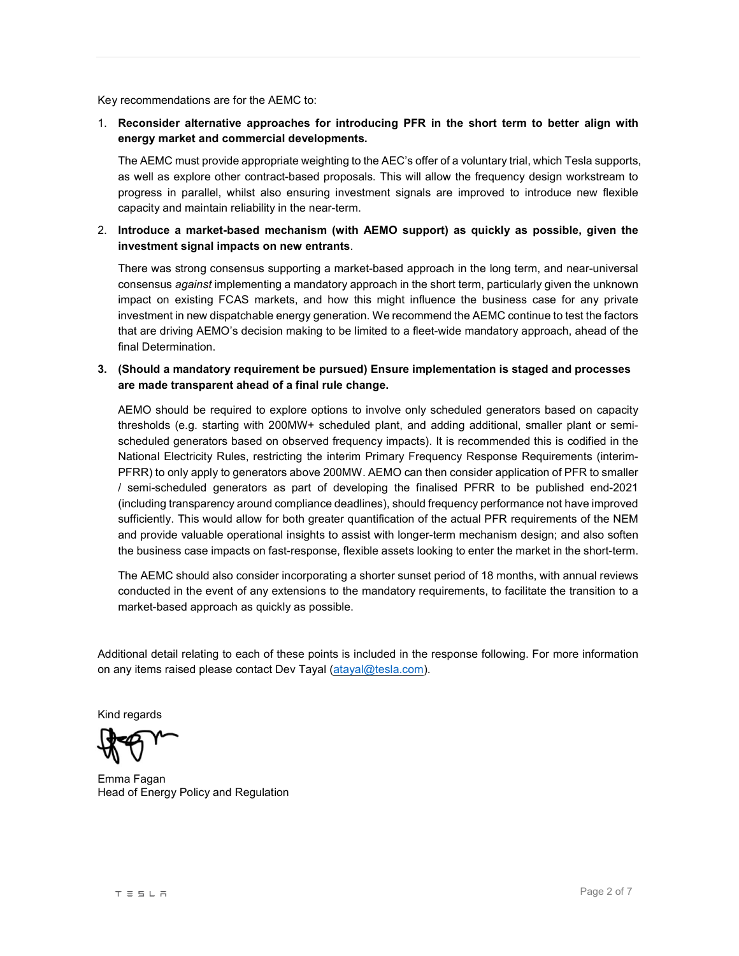Key recommendations are for the AEMC to:

1. Reconsider alternative approaches for introducing PFR in the short term to better align with energy market and commercial developments.

The AEMC must provide appropriate weighting to the AEC's offer of a voluntary trial, which Tesla supports, as well as explore other contract-based proposals. This will allow the frequency design workstream to progress in parallel, whilst also ensuring investment signals are improved to introduce new flexible capacity and maintain reliability in the near-term.

2. Introduce a market-based mechanism (with AEMO support) as quickly as possible, given the investment signal impacts on new entrants.

There was strong consensus supporting a market-based approach in the long term, and near-universal consensus against implementing a mandatory approach in the short term, particularly given the unknown impact on existing FCAS markets, and how this might influence the business case for any private investment in new dispatchable energy generation. We recommend the AEMC continue to test the factors that are driving AEMO's decision making to be limited to a fleet-wide mandatory approach, ahead of the final Determination.

3. (Should a mandatory requirement be pursued) Ensure implementation is staged and processes are made transparent ahead of a final rule change.

AEMO should be required to explore options to involve only scheduled generators based on capacity thresholds (e.g. starting with 200MW+ scheduled plant, and adding additional, smaller plant or semischeduled generators based on observed frequency impacts). It is recommended this is codified in the National Electricity Rules, restricting the interim Primary Frequency Response Requirements (interim-PFRR) to only apply to generators above 200MW. AEMO can then consider application of PFR to smaller / semi-scheduled generators as part of developing the finalised PFRR to be published end-2021 (including transparency around compliance deadlines), should frequency performance not have improved sufficiently. This would allow for both greater quantification of the actual PFR requirements of the NEM and provide valuable operational insights to assist with longer-term mechanism design; and also soften the business case impacts on fast-response, flexible assets looking to enter the market in the short-term.

The AEMC should also consider incorporating a shorter sunset period of 18 months, with annual reviews conducted in the event of any extensions to the mandatory requirements, to facilitate the transition to a market-based approach as quickly as possible.

Additional detail relating to each of these points is included in the response following. For more information on any items raised please contact Dev Tayal (atayal@tesla.com).

Kind regards

Emma Fagan Head of Energy Policy and Regulation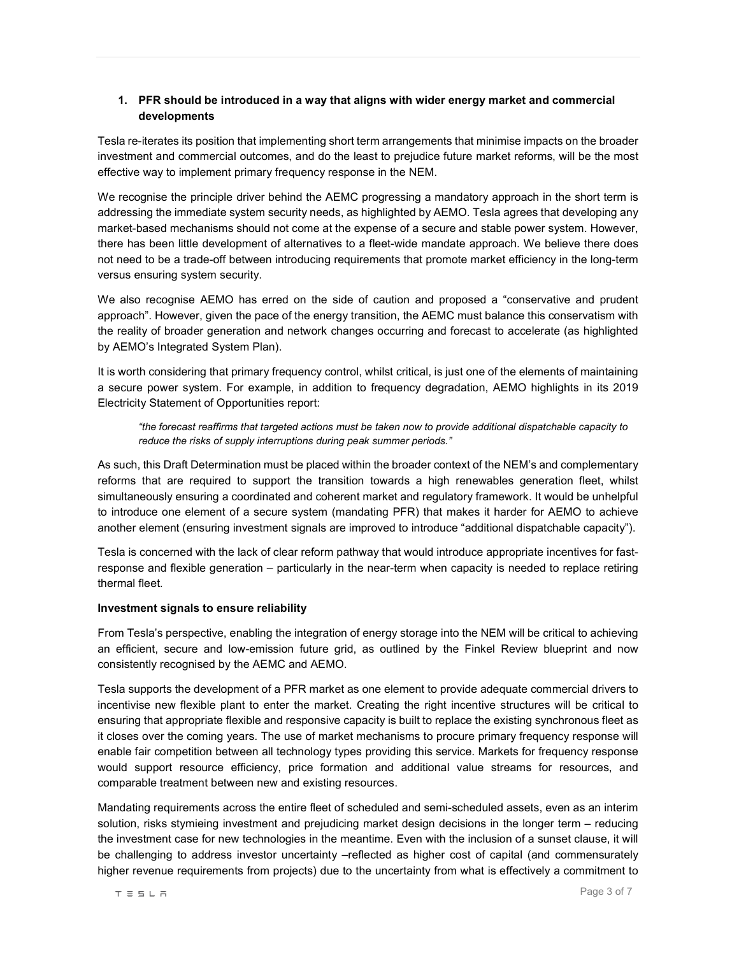# 1. PFR should be introduced in a way that aligns with wider energy market and commercial developments

Tesla re-iterates its position that implementing short term arrangements that minimise impacts on the broader investment and commercial outcomes, and do the least to prejudice future market reforms, will be the most effective way to implement primary frequency response in the NEM.

We recognise the principle driver behind the AEMC progressing a mandatory approach in the short term is addressing the immediate system security needs, as highlighted by AEMO. Tesla agrees that developing any market-based mechanisms should not come at the expense of a secure and stable power system. However, there has been little development of alternatives to a fleet-wide mandate approach. We believe there does not need to be a trade-off between introducing requirements that promote market efficiency in the long-term versus ensuring system security.

We also recognise AEMO has erred on the side of caution and proposed a "conservative and prudent approach". However, given the pace of the energy transition, the AEMC must balance this conservatism with the reality of broader generation and network changes occurring and forecast to accelerate (as highlighted by AEMO's Integrated System Plan).

It is worth considering that primary frequency control, whilst critical, is just one of the elements of maintaining a secure power system. For example, in addition to frequency degradation, AEMO highlights in its 2019 Electricity Statement of Opportunities report:

"the forecast reaffirms that targeted actions must be taken now to provide additional dispatchable capacity to reduce the risks of supply interruptions during peak summer periods."

As such, this Draft Determination must be placed within the broader context of the NEM's and complementary reforms that are required to support the transition towards a high renewables generation fleet, whilst simultaneously ensuring a coordinated and coherent market and regulatory framework. It would be unhelpful to introduce one element of a secure system (mandating PFR) that makes it harder for AEMO to achieve another element (ensuring investment signals are improved to introduce "additional dispatchable capacity").

Tesla is concerned with the lack of clear reform pathway that would introduce appropriate incentives for fastresponse and flexible generation – particularly in the near-term when capacity is needed to replace retiring thermal fleet.

### Investment signals to ensure reliability

From Tesla's perspective, enabling the integration of energy storage into the NEM will be critical to achieving an efficient, secure and low-emission future grid, as outlined by the Finkel Review blueprint and now consistently recognised by the AEMC and AEMO.

Tesla supports the development of a PFR market as one element to provide adequate commercial drivers to incentivise new flexible plant to enter the market. Creating the right incentive structures will be critical to ensuring that appropriate flexible and responsive capacity is built to replace the existing synchronous fleet as it closes over the coming years. The use of market mechanisms to procure primary frequency response will enable fair competition between all technology types providing this service. Markets for frequency response would support resource efficiency, price formation and additional value streams for resources, and comparable treatment between new and existing resources.

Mandating requirements across the entire fleet of scheduled and semi-scheduled assets, even as an interim solution, risks stymieing investment and prejudicing market design decisions in the longer term – reducing the investment case for new technologies in the meantime. Even with the inclusion of a sunset clause, it will be challenging to address investor uncertainty –reflected as higher cost of capital (and commensurately higher revenue requirements from projects) due to the uncertainty from what is effectively a commitment to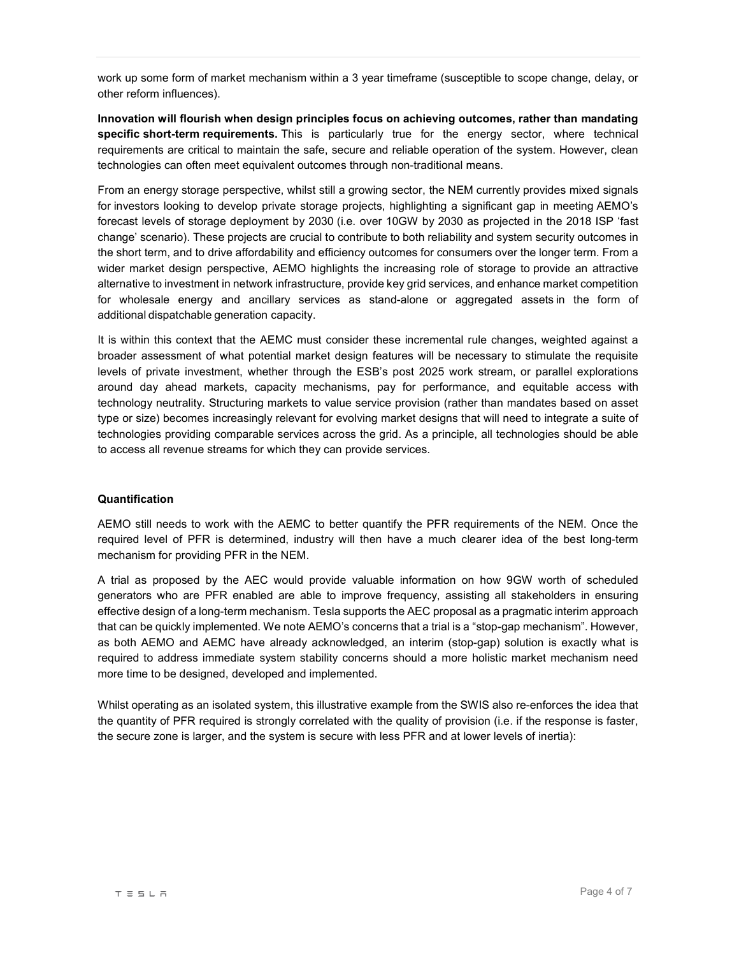work up some form of market mechanism within a 3 year timeframe (susceptible to scope change, delay, or other reform influences).

Innovation will flourish when design principles focus on achieving outcomes, rather than mandating specific short-term requirements. This is particularly true for the energy sector, where technical requirements are critical to maintain the safe, secure and reliable operation of the system. However, clean technologies can often meet equivalent outcomes through non-traditional means.

From an energy storage perspective, whilst still a growing sector, the NEM currently provides mixed signals for investors looking to develop private storage projects, highlighting a significant gap in meeting AEMO's forecast levels of storage deployment by 2030 (i.e. over 10GW by 2030 as projected in the 2018 ISP 'fast change' scenario). These projects are crucial to contribute to both reliability and system security outcomes in the short term, and to drive affordability and efficiency outcomes for consumers over the longer term. From a wider market design perspective, AEMO highlights the increasing role of storage to provide an attractive alternative to investment in network infrastructure, provide key grid services, and enhance market competition for wholesale energy and ancillary services as stand-alone or aggregated assets in the form of additional dispatchable generation capacity.

It is within this context that the AEMC must consider these incremental rule changes, weighted against a broader assessment of what potential market design features will be necessary to stimulate the requisite levels of private investment, whether through the ESB's post 2025 work stream, or parallel explorations around day ahead markets, capacity mechanisms, pay for performance, and equitable access with technology neutrality. Structuring markets to value service provision (rather than mandates based on asset type or size) becomes increasingly relevant for evolving market designs that will need to integrate a suite of technologies providing comparable services across the grid. As a principle, all technologies should be able to access all revenue streams for which they can provide services.

### Quantification

AEMO still needs to work with the AEMC to better quantify the PFR requirements of the NEM. Once the required level of PFR is determined, industry will then have a much clearer idea of the best long-term mechanism for providing PFR in the NEM.

A trial as proposed by the AEC would provide valuable information on how 9GW worth of scheduled generators who are PFR enabled are able to improve frequency, assisting all stakeholders in ensuring effective design of a long-term mechanism. Tesla supports the AEC proposal as a pragmatic interim approach that can be quickly implemented. We note AEMO's concerns that a trial is a "stop-gap mechanism". However, as both AEMO and AEMC have already acknowledged, an interim (stop-gap) solution is exactly what is required to address immediate system stability concerns should a more holistic market mechanism need more time to be designed, developed and implemented.

Whilst operating as an isolated system, this illustrative example from the SWIS also re-enforces the idea that the quantity of PFR required is strongly correlated with the quality of provision (i.e. if the response is faster, the secure zone is larger, and the system is secure with less PFR and at lower levels of inertia):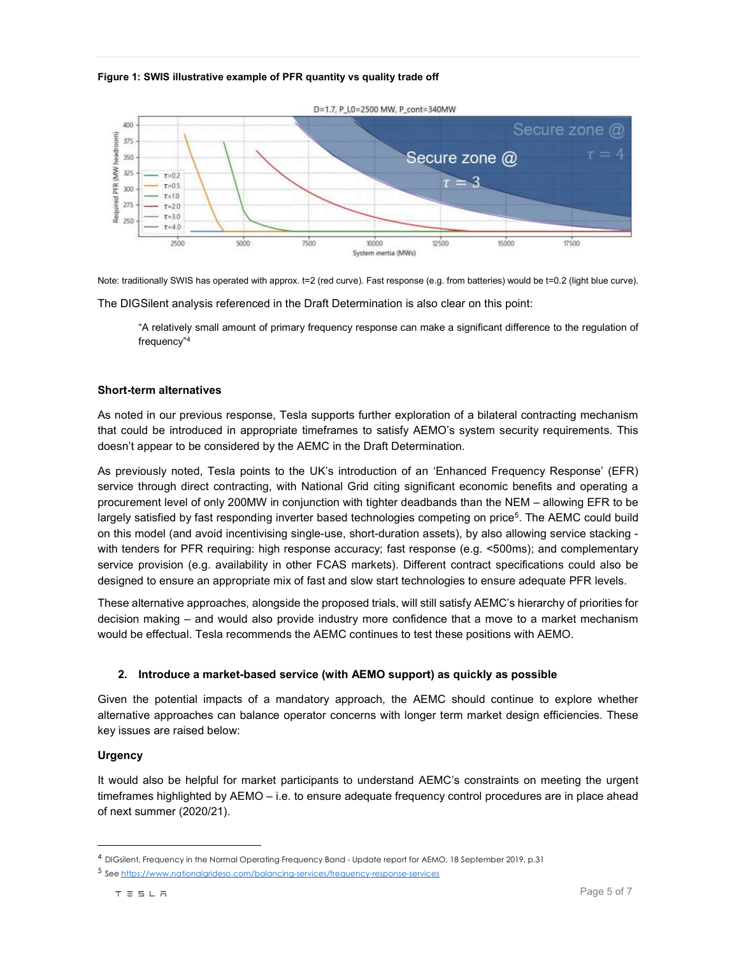#### Figure 1: SWIS illustrative example of PFR quantity vs quality trade off



Note: traditionally SWIS has operated with approx. t=2 (red curve). Fast response (e.g. from batteries) would be t=0.2 (light blue curve).

The DIGSilent analysis referenced in the Draft Determination is also clear on this point:

"A relatively small amount of primary frequency response can make a significant difference to the regulation of frequency"<sup>4</sup>

#### Short-term alternatives

As noted in our previous response, Tesla supports further exploration of a bilateral contracting mechanism that could be introduced in appropriate timeframes to satisfy AEMO's system security requirements. This doesn't appear to be considered by the AEMC in the Draft Determination.

As previously noted, Tesla points to the UK's introduction of an 'Enhanced Frequency Response' (EFR) service through direct contracting, with National Grid citing significant economic benefits and operating a procurement level of only 200MW in conjunction with tighter deadbands than the NEM – allowing EFR to be largely satisfied by fast responding inverter based technologies competing on price<sup>5</sup>. The AEMC could build on this model (and avoid incentivising single-use, short-duration assets), by also allowing service stacking with tenders for PFR requiring: high response accuracy; fast response (e.g. <500ms); and complementary service provision (e.g. availability in other FCAS markets). Different contract specifications could also be designed to ensure an appropriate mix of fast and slow start technologies to ensure adequate PFR levels.

These alternative approaches, alongside the proposed trials, will still satisfy AEMC's hierarchy of priorities for decision making – and would also provide industry more confidence that a move to a market mechanism would be effectual. Tesla recommends the AEMC continues to test these positions with AEMO.

### 2. Introduce a market-based service (with AEMO support) as quickly as possible

Given the potential impacts of a mandatory approach, the AEMC should continue to explore whether alternative approaches can balance operator concerns with longer term market design efficiencies. These key issues are raised below:

### **Urgency**

-

It would also be helpful for market participants to understand AEMC's constraints on meeting the urgent timeframes highlighted by AEMO – i.e. to ensure adequate frequency control procedures are in place ahead of next summer (2020/21).

<sup>4</sup> DIGsilent, Frequency in the Normal Operating Frequency Band - Update report for AEMO, 18 September 2019, p.31

<sup>5</sup> See https://www.nationalgrideso.com/balancing-services/frequency-response-services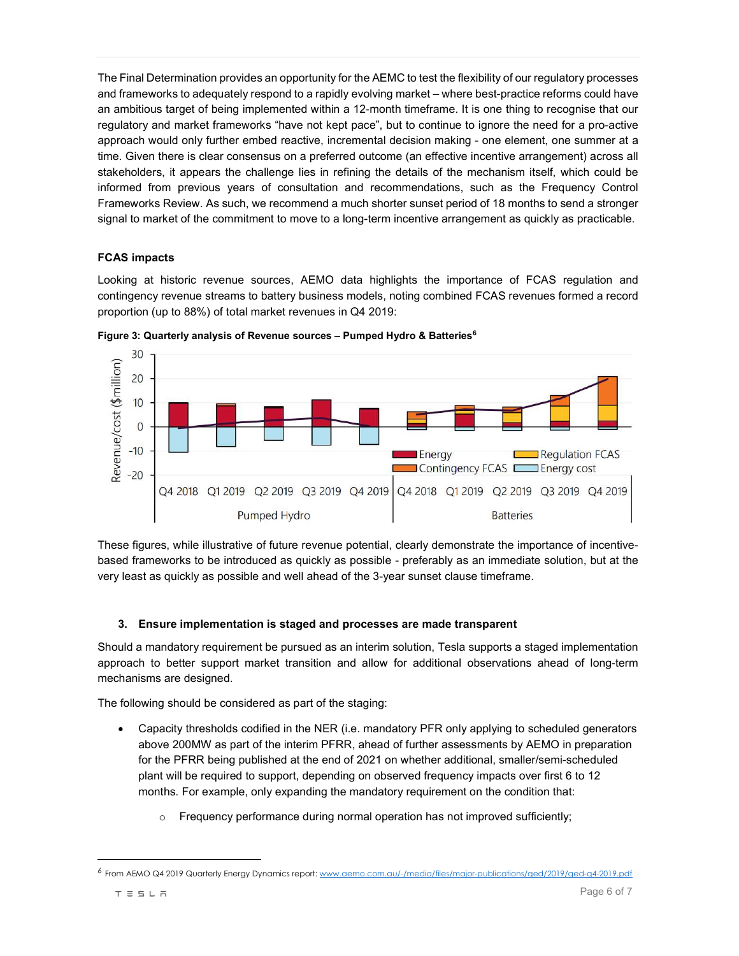The Final Determination provides an opportunity for the AEMC to test the flexibility of our regulatory processes and frameworks to adequately respond to a rapidly evolving market – where best-practice reforms could have an ambitious target of being implemented within a 12-month timeframe. It is one thing to recognise that our regulatory and market frameworks "have not kept pace", but to continue to ignore the need for a pro-active approach would only further embed reactive, incremental decision making - one element, one summer at a time. Given there is clear consensus on a preferred outcome (an effective incentive arrangement) across all stakeholders, it appears the challenge lies in refining the details of the mechanism itself, which could be informed from previous years of consultation and recommendations, such as the Frequency Control Frameworks Review. As such, we recommend a much shorter sunset period of 18 months to send a stronger signal to market of the commitment to move to a long-term incentive arrangement as quickly as practicable.

## FCAS impacts

Looking at historic revenue sources, AEMO data highlights the importance of FCAS regulation and contingency revenue streams to battery business models, noting combined FCAS revenues formed a record proportion (up to 88%) of total market revenues in Q4 2019:



Figure 3: Quarterly analysis of Revenue sources - Pumped Hydro & Batteries<sup>6</sup>

These figures, while illustrative of future revenue potential, clearly demonstrate the importance of incentivebased frameworks to be introduced as quickly as possible - preferably as an immediate solution, but at the very least as quickly as possible and well ahead of the 3-year sunset clause timeframe.

## 3. Ensure implementation is staged and processes are made transparent

Should a mandatory requirement be pursued as an interim solution, Tesla supports a staged implementation approach to better support market transition and allow for additional observations ahead of long-term mechanisms are designed.

The following should be considered as part of the staging:

- Capacity thresholds codified in the NER (i.e. mandatory PFR only applying to scheduled generators above 200MW as part of the interim PFRR, ahead of further assessments by AEMO in preparation for the PFRR being published at the end of 2021 on whether additional, smaller/semi-scheduled plant will be required to support, depending on observed frequency impacts over first 6 to 12 months. For example, only expanding the mandatory requirement on the condition that:
	- o Frequency performance during normal operation has not improved sufficiently;

l

<sup>6</sup> From AEMO Q4 2019 Quarterly Energy Dynamics report: www.aemo.com.au/-/media/files/major-publications/qed/2019/qed-q4-2019.pdf